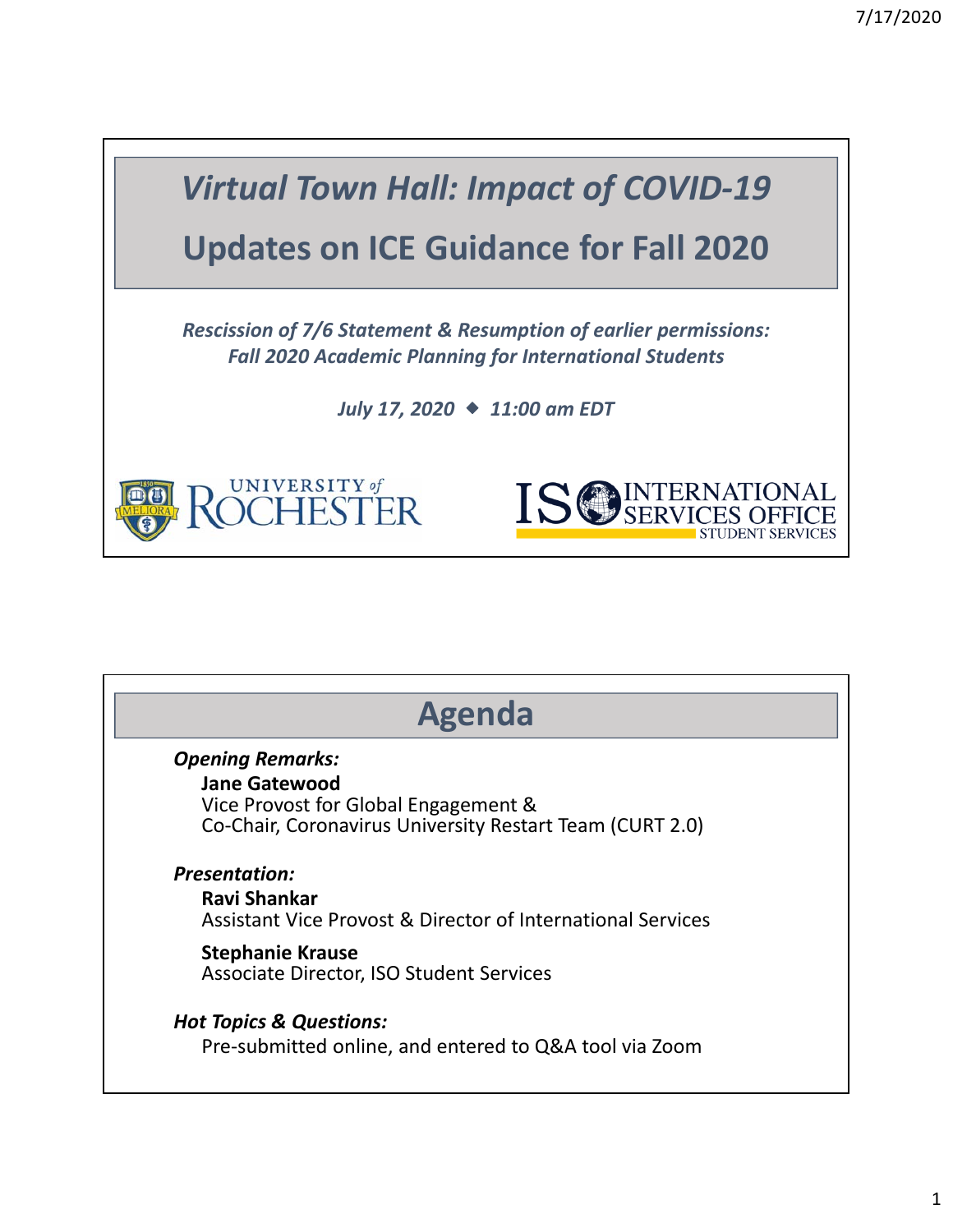

| <b>Agenda</b>                                               |
|-------------------------------------------------------------|
| <b>Opening Remarks:</b>                                     |
| <b>Jane Gatewood</b>                                        |
| Vice Provost for Global Engagement &                        |
| Co-Chair, Coronavirus University Restart Team (CURT 2.0)    |
| <b>Presentation:</b>                                        |
| Ravi Shankar                                                |
| Assistant Vice Provost & Director of International Services |
| <b>Stephanie Krause</b>                                     |
| Associate Director, ISO Student Services                    |
| <b>Hot Topics &amp; Questions:</b>                          |
| Pre-submitted online, and entered to Q&A tool via Zoom      |
|                                                             |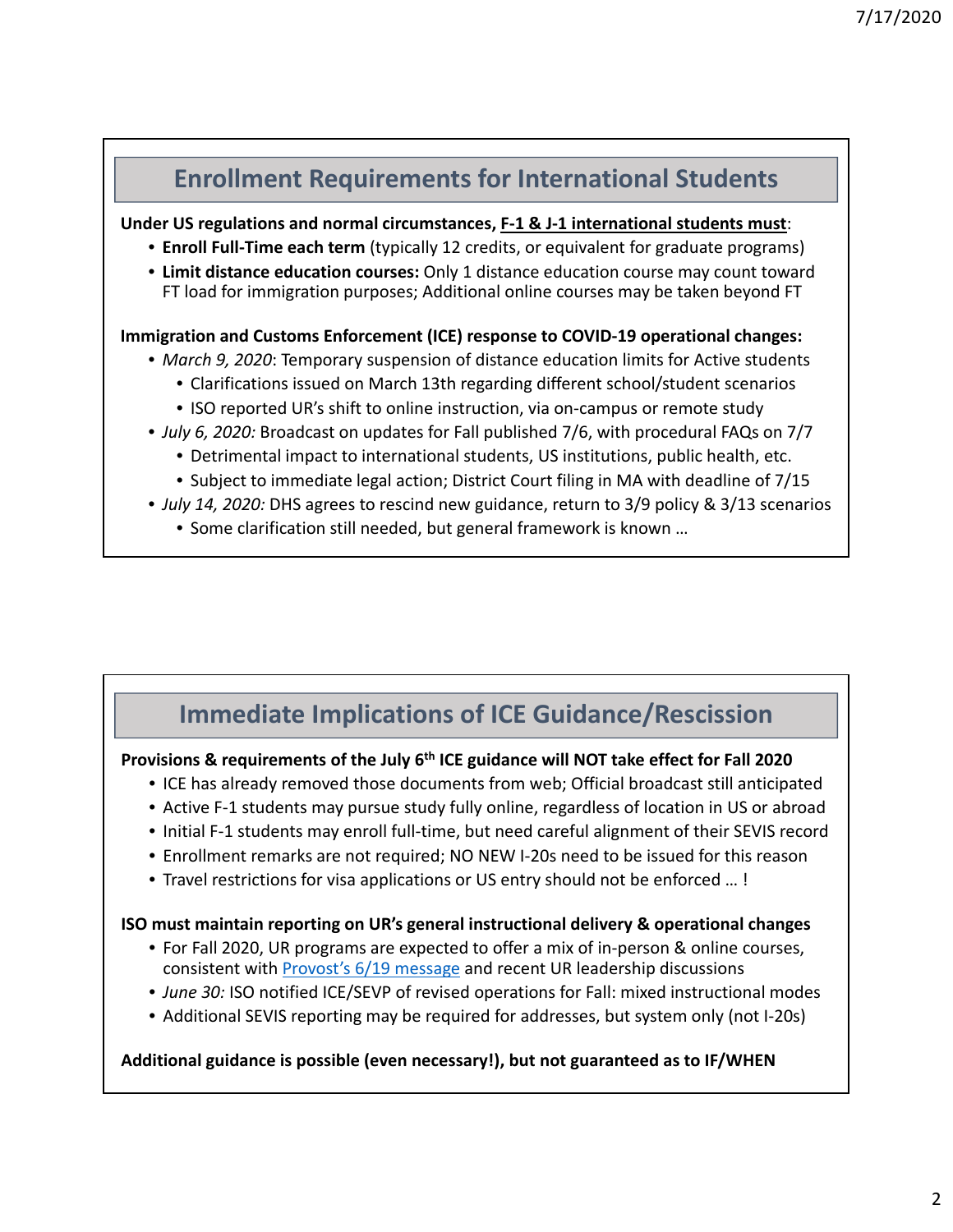## **Enrollment Requirements for International Students Under US regulations and normal circumstances, F‐1 & J‐1 international students must**: • **Enroll Full‐Time each term** (typically 12 credits, or equivalent for graduate programs) • **Limit distance education courses:** Only 1 distance education course may count toward FT load for immigration purposes; Additional online courses may be taken beyond FT **Immigration and Customs Enforcement (ICE) response to COVID‐19 operational changes:** • *March 9, 2020*: Temporary suspension of distance education limits for Active students • Clarifications issued on March 13th regarding different school/student scenarios • ISO reported UR's shift to online instruction, via on-campus or remote study • *July 6, 2020:* Broadcast on updates for Fall published 7/6, with procedural FAQs on 7/7 • Detrimental impact to international students, US institutions, public health, etc.

- Subject to immediate legal action; District Court filing in MA with deadline of 7/15
- *July 14, 2020:* DHS agrees to rescind new guidance, return to 3/9 policy & 3/13 scenarios
	- Some clarification still needed, but general framework is known …

# **Immediate Implications of ICE Guidance/Rescission**

### **Provisions & requirements of the July 6th ICE guidance will NOT take effect for Fall 2020**

- ICE has already removed those documents from web; Official broadcast still anticipated
- Active F-1 students may pursue study fully online, regardless of location in US or abroad
- Initial F‐1 students may enroll full‐time, but need careful alignment of their SEVIS record
- Enrollment remarks are not required; NO NEW I‐20s need to be issued for this reason
- Travel restrictions for visa applications or US entry should not be enforced … !

#### **ISO must maintain reporting on UR's general instructional delivery & operational changes**

- For Fall 2020, UR programs are expected to offer a mix of in‐person & online courses, consistent with Provost's 6/19 message and recent UR leadership discussions
- *June 30:* ISO notified ICE/SEVP of revised operations for Fall: mixed instructional modes
- Additional SEVIS reporting may be required for addresses, but system only (not I-20s)

#### **Additional guidance is possible (even necessary!), but not guaranteed as to IF/WHEN**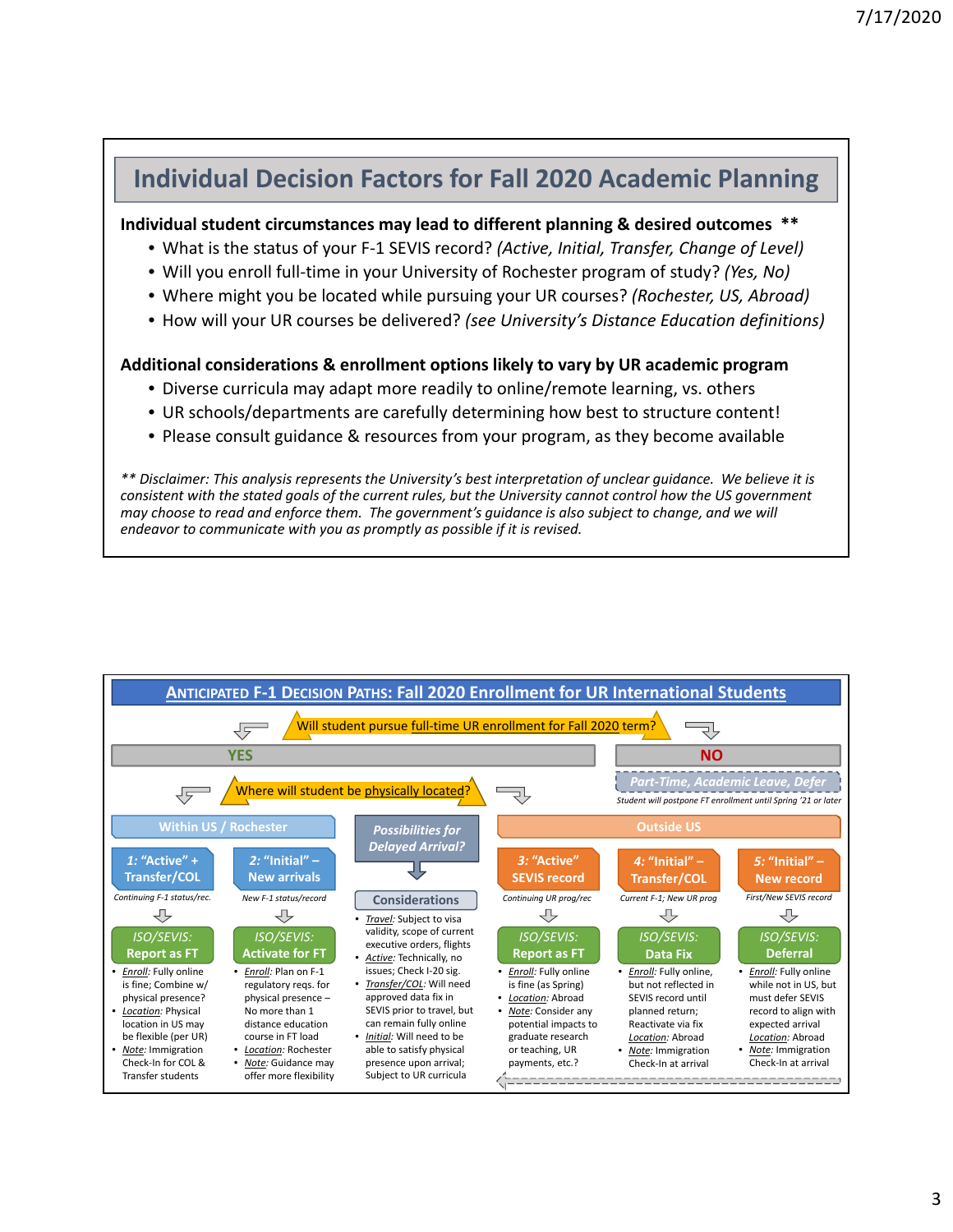## **Individual Decision Factors for Fall 2020 Academic Planning**

**Individual student circumstances may lead to different planning & desired outcomes \*\***

- What is the status of your F‐1 SEVIS record? *(Active, Initial, Transfer, Change of Level)*
- Will you enroll full‐time in your University of Rochester program of study? *(Yes, No)*
- Where might you be located while pursuing your UR courses? *(Rochester, US, Abroad)*
- How will your UR courses be delivered? *(see University's Distance Education definitions)*

#### **Additional considerations & enrollment options likely to vary by UR academic program**

- Diverse curricula may adapt more readily to online/remote learning, vs. others
- UR schools/departments are carefully determining how best to structure content!
- Please consult guidance & resources from your program, as they become available

\*\* Disclaimer: This analysis represents the University's best interpretation of unclear guidance. We believe it is consistent with the stated goals of the current rules, but the University cannot control how the US government may choose to read and enforce them. The government's guidance is also subject to change, and we will *endeavor to communicate with you as promptly as possible if it is revised.*

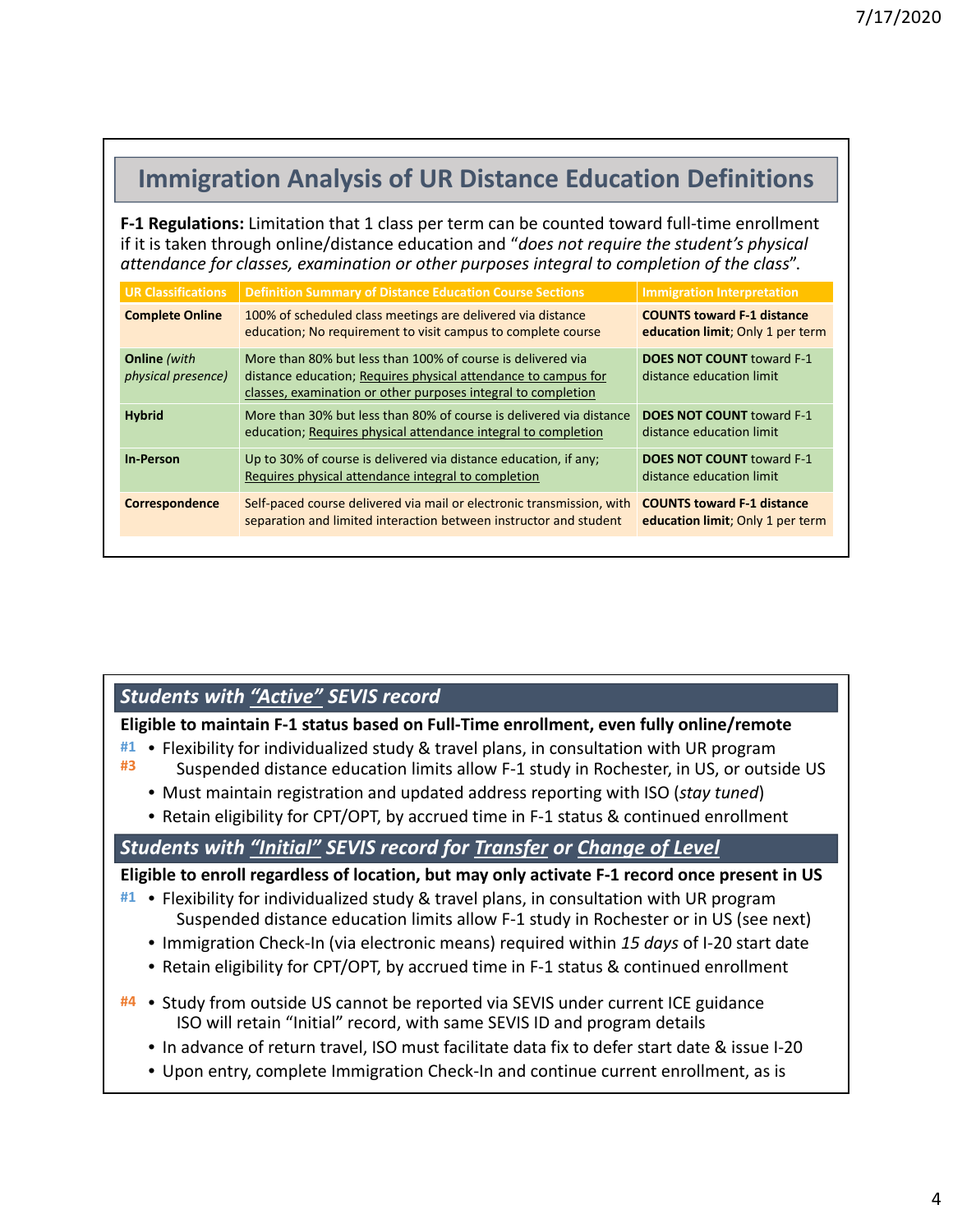## **Immigration Analysis of UR Distance Education Definitions**

**F‐1 Regulations:** Limitation that 1 class per term can be counted toward full‐time enrollment if it is taken through online/distance education and "*does not require the student's physical attendance for classes, examination or other purposes integral to completion of the class*".

| <b>UR Classifications</b>                 | Definition Summary of Distance Education Course Sections                                                                                                                                       | <b>Immigration Interpretation</b>                                     |
|-------------------------------------------|------------------------------------------------------------------------------------------------------------------------------------------------------------------------------------------------|-----------------------------------------------------------------------|
| <b>Complete Online</b>                    | 100% of scheduled class meetings are delivered via distance<br>education; No requirement to visit campus to complete course                                                                    | <b>COUNTS toward F-1 distance</b><br>education limit; Only 1 per term |
| <b>Online</b> (with<br>physical presence) | More than 80% but less than 100% of course is delivered via<br>distance education; Requires physical attendance to campus for<br>classes, examination or other purposes integral to completion | <b>DOES NOT COUNT toward F-1</b><br>distance education limit          |
| <b>Hybrid</b>                             | More than 30% but less than 80% of course is delivered via distance<br>education; Requires physical attendance integral to completion                                                          | <b>DOES NOT COUNT toward F-1</b><br>distance education limit          |
| <b>In-Person</b>                          | Up to 30% of course is delivered via distance education, if any;<br>Requires physical attendance integral to completion                                                                        | <b>DOES NOT COUNT toward F-1</b><br>distance education limit          |
| Correspondence                            | Self-paced course delivered via mail or electronic transmission, with<br>separation and limited interaction between instructor and student                                                     | <b>COUNTS toward F-1 distance</b><br>education limit; Only 1 per term |

## *Students with "Active" SEVIS record*

**Eligible to maintain F‐1 status based on Full‐Time enrollment, even fully online/remote**

- Flexibility for individualized study & travel plans, in consultation with UR program **#1** Suspended distance education limits allow F‐1 study in Rochester, in US, or outside US **#3**
	- Must maintain registration and updated address reporting with ISO (*stay tuned*)
	- Retain eligibility for CPT/OPT, by accrued time in F‐1 status & continued enrollment

### *Students with "Initial" SEVIS record for Transfer or Change of Level*

**Eligible to enroll regardless of location, but may only activate F‐1 record once present in US**

- Flexibility for individualized study & travel plans, in consultation with UR program **#1** Suspended distance education limits allow F‐1 study in Rochester or in US (see next)
	- Immigration Check‐In (via electronic means) required within *15 days* of I‐20 start date
	- Retain eligibility for CPT/OPT, by accrued time in F‐1 status & continued enrollment
- Study from outside US cannot be reported via SEVIS under current ICE guidance **#4** ISO will retain "Initial" record, with same SEVIS ID and program details
	- In advance of return travel, ISO must facilitate data fix to defer start date & issue I‐20
	- Upon entry, complete Immigration Check-In and continue current enrollment, as is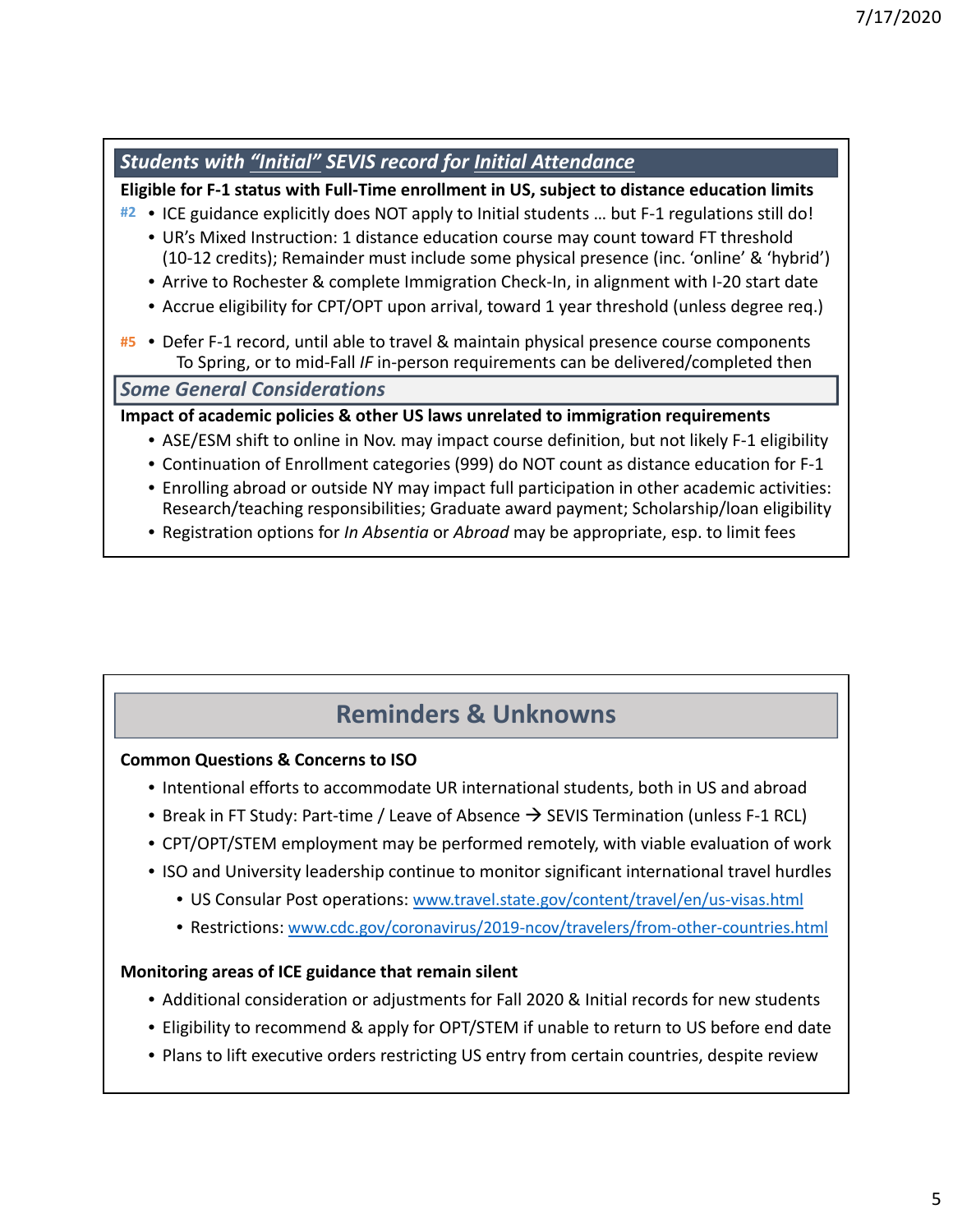| <b>Students with "Initial" SEVIS record for Initial Attendance</b>                                                                                                                       |
|------------------------------------------------------------------------------------------------------------------------------------------------------------------------------------------|
| Eligible for F-1 status with Full-Time enrollment in US, subject to distance education limits                                                                                            |
| • ICE guidance explicitly does NOT apply to Initial students  but F-1 regulations still do!<br>#2                                                                                        |
| • UR's Mixed Instruction: 1 distance education course may count toward FT threshold<br>(10-12 credits); Remainder must include some physical presence (inc. 'online' & 'hybrid')         |
| • Arrive to Rochester & complete Immigration Check-In, in alignment with I-20 start date                                                                                                 |
| • Accrue eligibility for CPT/OPT upon arrival, toward 1 year threshold (unless degree req.)                                                                                              |
| #5 • Defer F-1 record, until able to travel & maintain physical presence course components<br>To Spring, or to mid-Fall IF in-person requirements can be delivered/completed then        |
| <b>Some General Considerations</b>                                                                                                                                                       |
| Impact of academic policies & other US laws unrelated to immigration requirements                                                                                                        |
| • ASE/ESM shift to online in Nov. may impact course definition, but not likely F-1 eligibility                                                                                           |
| • Continuation of Enrollment categories (999) do NOT count as distance education for F-1                                                                                                 |
| • Enrolling abroad or outside NY may impact full participation in other academic activities:<br>Research/teaching responsibilities; Graduate award payment; Scholarship/loan eligibility |
| • Registration options for <i>In Absentia</i> or <i>Abroad</i> may be appropriate, esp. to limit fees                                                                                    |

# **Reminders & Unknowns**

## **Common Questions & Concerns to ISO**

- Intentional efforts to accommodate UR international students, both in US and abroad
- Break in FT Study: Part-time / Leave of Absence  $\rightarrow$  SEVIS Termination (unless F-1 RCL)
- CPT/OPT/STEM employment may be performed remotely, with viable evaluation of work
- ISO and University leadership continue to monitor significant international travel hurdles
	- US Consular Post operations: www.travel.state.gov/content/travel/en/us‐visas.html
	- Restrictions: www.cdc.gov/coronavirus/2019‐ncov/travelers/from‐other‐countries.html

## **Monitoring areas of ICE guidance that remain silent**

- Additional consideration or adjustments for Fall 2020 & Initial records for new students
- Eligibility to recommend & apply for OPT/STEM if unable to return to US before end date
- Plans to lift executive orders restricting US entry from certain countries, despite review